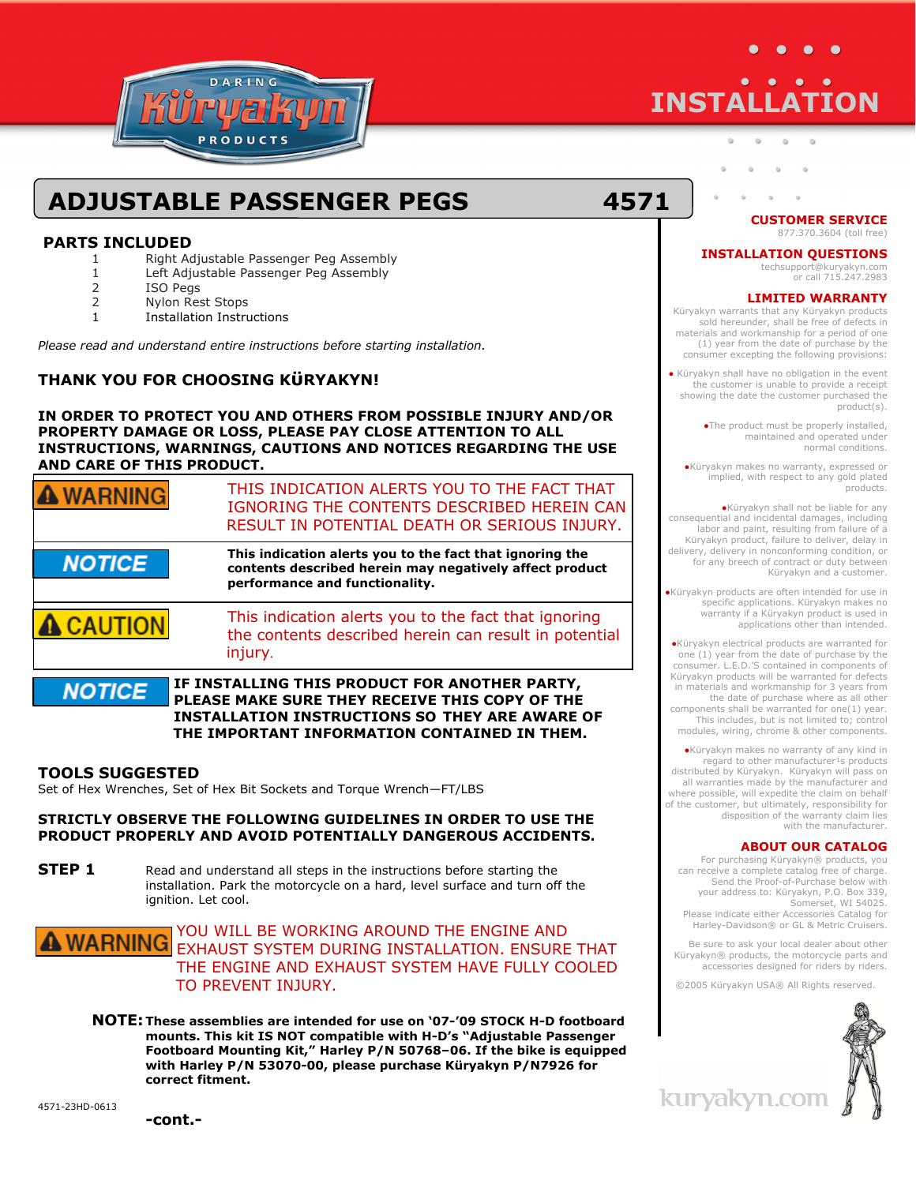

# **INSTALLATION**

## **ADJUSTABLE PASSENGER PEGS 4571**

#### **PARTS INCLUDED**

- 1 Right Adjustable Passenger Peg Assembly
- 1 Left Adjustable Passenger Peg Assembly
- 2 ISO Pegs
- 2 Nylon Rest Stops
- 1 Installation Instructions

*Please read and understand entire instructions before starting installation.* 

#### **THANK YOU FOR CHOOSING KϋRYAKYN!**

#### **IN ORDER TO PROTECT YOU AND OTHERS FROM POSSIBLE INJURY AND/OR PROPERTY DAMAGE OR LOSS, PLEASE PAY CLOSE ATTENTION TO ALL INSTRUCTIONS, WARNINGS, CAUTIONS AND NOTICES REGARDING THE USE AND CARE OF THIS PRODUCT.**

| <b>MARNING</b>                                                                                                   | THIS INDICATION ALERTS YOU TO THE FACT THAT<br>IGNORING THE CONTENTS DESCRIBED HEREIN CAN<br>RESULT IN POTENTIAL DEATH OR SERIOUS INJURY.             |
|------------------------------------------------------------------------------------------------------------------|-------------------------------------------------------------------------------------------------------------------------------------------------------|
| <b>NOTICE</b>                                                                                                    | This indication alerts you to the fact that ignoring the<br>contents described herein may negatively affect product<br>performance and functionality. |
| <b>CAUTION</b>                                                                                                   | This indication alerts you to the fact that ignoring<br>the contents described herein can result in potential<br>injury.                              |
| IF INSTALLING THIS PRODUCT FOR ANOTHER PARTY,<br><b>NOTICE</b><br>PLEASE MAKE SURE THEY RECEIVE THIS COPY OF THE |                                                                                                                                                       |

**INSTALLATION INSTRUCTIONS SO THEY ARE AWARE OF THE IMPORTANT INFORMATION CONTAINED IN THEM.**

#### **TOOLS SUGGESTED**

Set of Hex Wrenches, Set of Hex Bit Sockets and Torque Wrench—FT/LBS

#### **STRICTLY OBSERVE THE FOLLOWING GUIDELINES IN ORDER TO USE THE PRODUCT PROPERLY AND AVOID POTENTIALLY DANGEROUS ACCIDENTS.**

**STEP 1** Read and understand all steps in the instructions before starting the installation. Park the motorcycle on a hard, level surface and turn off the ignition. Let cool.

#### YOU WILL BE WORKING AROUND THE ENGINE AND **A WARNING** FOU WILL BE WOMAND FINSTALLATION. ENSURE THAT THE ENGINE AND EXHAUST SYSTEM HAVE FULLY COOLED TO PREVENT INJURY.

 **NOTE: These assemblies are intended for use on '07-'09 STOCK H-D footboard mounts. This kit IS NOT compatible with H-D's "Adjustable Passenger Footboard Mounting Kit," Harley P/N 50768–06. If the bike is equipped with Harley P/N 53070-00, please purchase Küryakyn P/N7926 for correct fitment.** 

**CUSTOMER SERVICE**  877.370.3604 (toll free)

#### **INSTALLATION QUESTIONS**

techsupport@kuryakyn.com or call 715.247.2983

#### **LIMITED WARRANTY**

Küryakyn warrants that any Küryakyn products sold hereunder, shall be free of defects in materials and workmanship for a period of one (1) year from the date of purchase by the consumer excepting the following provisions:

● Küryakyn shall have no obligation in the event the customer is unable to provide a receipt showing the date the customer purchased the product(s).

> ●The product must be properly installed, maintained and operated under normal conditions.

●Küryakyn makes no warranty, expressed or implied, with respect to any gold plated products.

●Küryakyn shall not be liable for any consequential and incidental damages, including labor and paint, resulting from failure of a Küryakyn product, failure to deliver, delay in delivery, delivery in nonconforming condition, or for any breech of contract or duty between Küryakyn and a customer.

●Küryakyn products are often intended for use in specific applications. Küryakyn makes no warranty if a Küryakyn product is used in applications other than intended.

●Küryakyn electrical products are warranted for one (1) year from the date of purchase by the consumer. L.E.D.'S contained in components of Küryakyn products will be warranted for defects in materials and workmanship for 3 years from the date of purchase where as all other components shall be warranted for one(1) year. This includes, but is not limited to; control modules, wiring, chrome & other components.

●Küryakyn makes no warranty of any kind in regard to other manufacturer<sup>1</sup>s products distributed by Küryakyn. Küryakyn will pass on all warranties made by the manufacturer and where possible, will expedite the claim on behalf of the customer, but ultimately, responsibility for disposition of the warranty claim lies with the manufacturer.

#### **ABOUT OUR CATALOG**

For purchasing Küryakyn® products, you can receive a complete catalog free of charge. Send the Proof-of-Purchase below with your address to: Küryakyn, P.O. Box 339, Somerset, WI 54025. Please indicate either Accessories Catalog for

Harley-Davidson® or GL & Metric Cruisers.

Be sure to ask your local dealer about other Küryakyn® products, the motorcycle parts and accessories designed for riders by riders.

©2005 Küryakyn USA® All Rights reserved.



kuryakyn.con

4571-23HD-0613